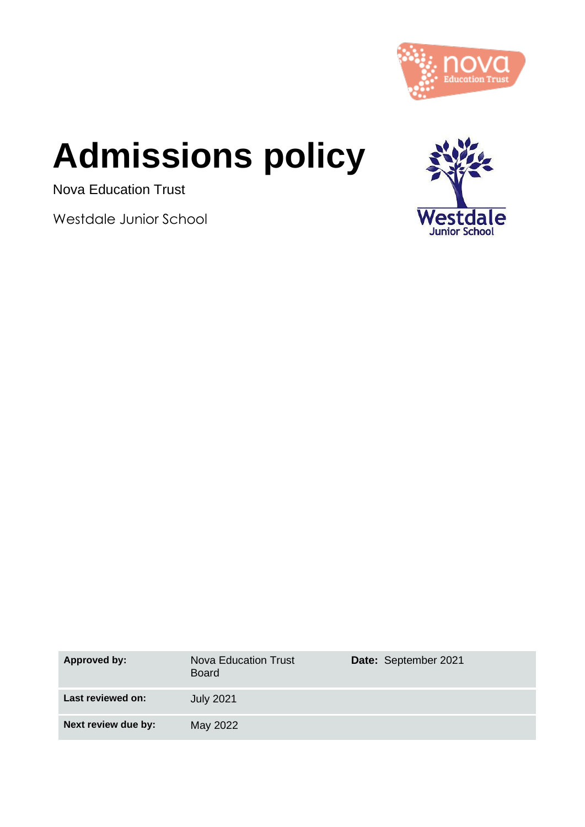

# **Admissions policy**

Nova Education Trust

Westdale Junior School



| Approved by:        | <b>Nova Education Trust</b><br><b>Board</b> | Date: September 2021 |
|---------------------|---------------------------------------------|----------------------|
| Last reviewed on:   | <b>July 2021</b>                            |                      |
| Next review due by: | May 2022                                    |                      |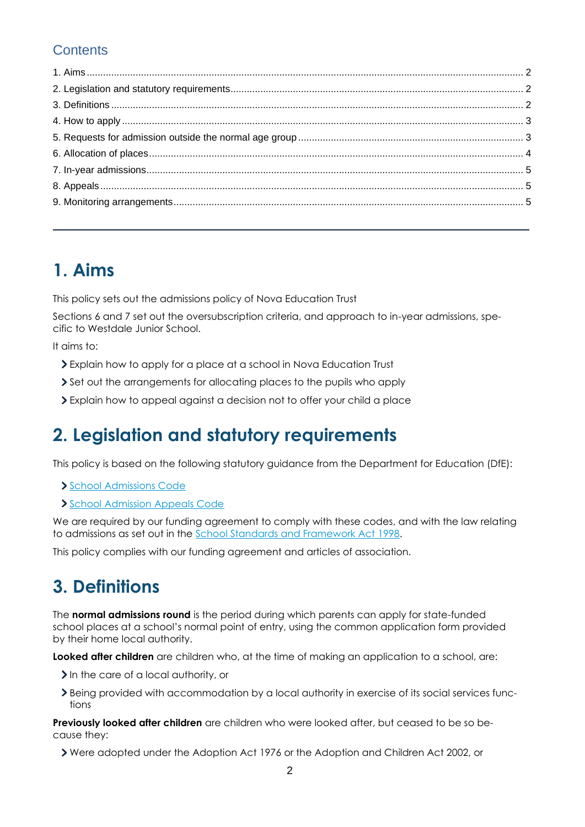#### **Contents**

### **1. Aims**

This policy sets out the admissions policy of Nova Education Trust

Sections 6 and 7 set out the oversubscription criteria, and approach to in-year admissions, specific to Westdale Junior School.

It aims to:

- Explain how to apply for a place at a school in Nova Education Trust
- Set out the arrangements for allocating places to the pupils who apply
- Explain how to appeal against a decision not to offer your child a place

### **2. Legislation and statutory requirements**

This policy is based on the following statutory guidance from the Department for Education (DfE):

- [School Admissions Code](https://www.gov.uk/government/publications/school-admissions-code--2)
- [School Admission Appeals Code](https://www.gov.uk/government/publications/school-admissions-appeals-code)

We are required by our funding agreement to comply with these codes, and with the law relating to admissions as set out in the [School Standards and Framework Act 1998.](http://www.legislation.gov.uk/ukpga/1998/31/contents)

This policy complies with our funding agreement and articles of association.

### **3. Definitions**

The **normal admissions round** is the period during which parents can apply for state-funded school places at a school's normal point of entry, using the common application form provided by their home local authority.

**Looked after children** are children who, at the time of making an application to a school, are:

- In the care of a local authority, or
- Being provided with accommodation by a local authority in exercise of its social services functions

**Previously looked after children** are children who were looked after, but ceased to be so because they:

Were adopted under the Adoption Act 1976 or the Adoption and Children Act 2002, or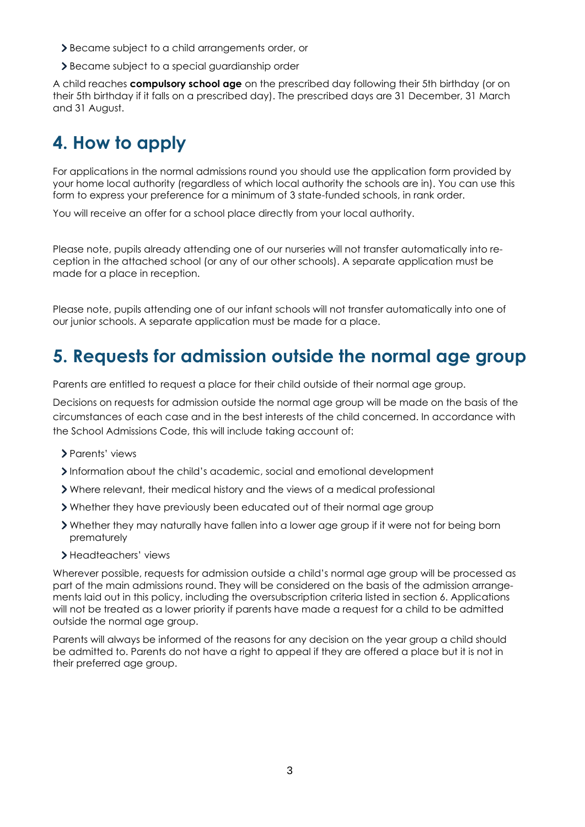- Became subject to a child arrangements order, or
- Became subject to a special guardianship order

A child reaches **compulsory school age** on the prescribed day following their 5th birthday (or on their 5th birthday if it falls on a prescribed day). The prescribed days are 31 December, 31 March and 31 August.

# **4. How to apply**

For applications in the normal admissions round you should use the application form provided by your home local authority (regardless of which local authority the schools are in). You can use this form to express your preference for a minimum of 3 state-funded schools, in rank order.

You will receive an offer for a school place directly from your local authority.

Please note, pupils already attending one of our nurseries will not transfer automatically into reception in the attached school (or any of our other schools). A separate application must be made for a place in reception.

Please note, pupils attending one of our infant schools will not transfer automatically into one of our junior schools. A separate application must be made for a place.

### **5. Requests for admission outside the normal age group**

Parents are entitled to request a place for their child outside of their normal age group.

Decisions on requests for admission outside the normal age group will be made on the basis of the circumstances of each case and in the best interests of the child concerned. In accordance with the School Admissions Code, this will include taking account of:

- Parents' views
- Information about the child's academic, social and emotional development
- Where relevant, their medical history and the views of a medical professional
- Whether they have previously been educated out of their normal age group
- Whether they may naturally have fallen into a lower age group if it were not for being born prematurely
- Headteachers' views

Wherever possible, requests for admission outside a child's normal age group will be processed as part of the main admissions round. They will be considered on the basis of the admission arrangements laid out in this policy, including the oversubscription criteria listed in section 6. Applications will not be treated as a lower priority if parents have made a request for a child to be admitted outside the normal age group.

Parents will always be informed of the reasons for any decision on the year group a child should be admitted to. Parents do not have a right to appeal if they are offered a place but it is not in their preferred age group.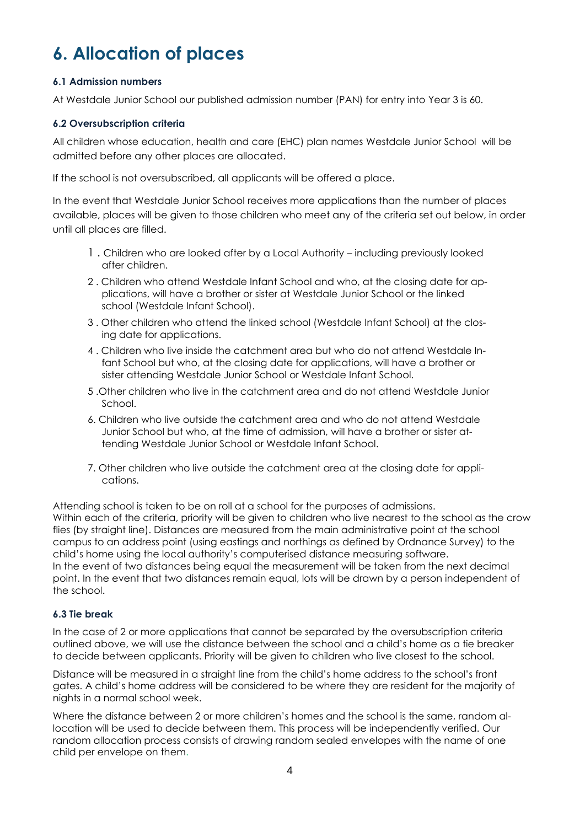# **6. Allocation of places**

#### **6.1 Admission numbers**

At Westdale Junior School our published admission number (PAN) for entry into Year 3 is 60.

#### **6.2 Oversubscription criteria**

All children whose education, health and care (EHC) plan names Westdale Junior School will be admitted before any other places are allocated.

If the school is not oversubscribed, all applicants will be offered a place.

In the event that Westdale Junior School receives more applications than the number of places available, places will be given to those children who meet any of the criteria set out below, in order until all places are filled.

- 1 . Children who are looked after by a Local Authority including previously looked after children.
- 2 . Children who attend Westdale Infant School and who, at the closing date for applications, will have a brother or sister at Westdale Junior School or the linked school (Westdale Infant School).
- 3 . Other children who attend the linked school (Westdale Infant School) at the closing date for applications.
- 4 . Children who live inside the catchment area but who do not attend Westdale Infant School but who, at the closing date for applications, will have a brother or sister attending Westdale Junior School or Westdale Infant School.
- 5 .Other children who live in the catchment area and do not attend Westdale Junior School.
- 6. Children who live outside the catchment area and who do not attend Westdale Junior School but who, at the time of admission, will have a brother or sister attending Westdale Junior School or Westdale Infant School.
- 7. Other children who live outside the catchment area at the closing date for applications.

Attending school is taken to be on roll at a school for the purposes of admissions. Within each of the criteria, priority will be given to children who live nearest to the school as the crow flies (by straight line). Distances are measured from the main administrative point at the school campus to an address point (using eastings and northings as defined by Ordnance Survey) to the child's home using the local authority's computerised distance measuring software. In the event of two distances being equal the measurement will be taken from the next decimal point. In the event that two distances remain equal, lots will be drawn by a person independent of the school.

#### **6.3 Tie break**

In the case of 2 or more applications that cannot be separated by the oversubscription criteria outlined above, we will use the distance between the school and a child's home as a tie breaker to decide between applicants. Priority will be given to children who live closest to the school.

Distance will be measured in a straight line from the child's home address to the school's front gates. A child's home address will be considered to be where they are resident for the majority of nights in a normal school week.

Where the distance between 2 or more children's homes and the school is the same, random allocation will be used to decide between them. This process will be independently verified. Our random allocation process consists of drawing random sealed envelopes with the name of one child per envelope on them.